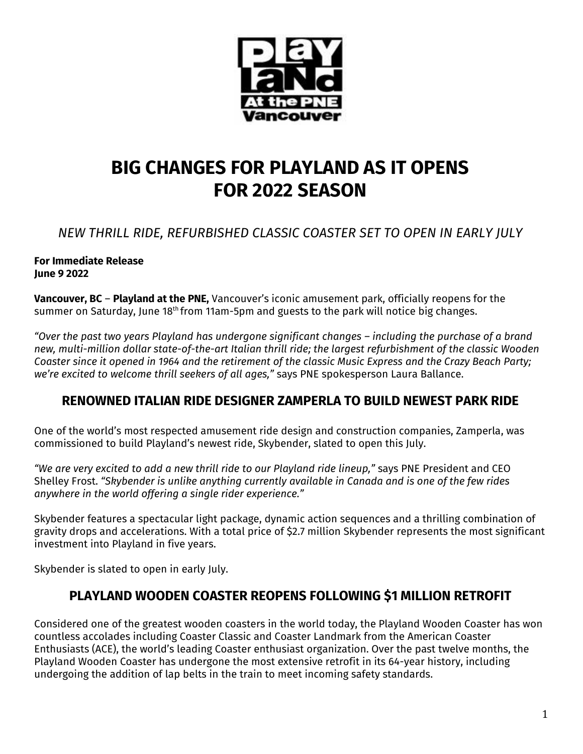

# **BIG CHANGES FOR PLAYLAND AS IT OPENS FOR 2022 SEASON**

## *NEW THRILL RIDE, REFURBISHED CLASSIC COASTER SET TO OPEN IN EARLY JULY*

#### **For Immediate Release June 9 2022**

**Vancouver, BC** – **Playland at the PNE,** Vancouver's iconic amusement park, officially reopens for the summer on Saturday, June 18th from 11am-5pm and guests to the park will notice big changes.

*"Over the past two years Playland has undergone significant changes – including the purchase of a brand new, multi-million dollar state-of-the-art Italian thrill ride; the largest refurbishment of the classic Wooden Coaster since it opened in 1964 and the retirement of the classic Music Express and the Crazy Beach Party; we're excited to welcome thrill seekers of all ages,"* says PNE spokesperson Laura Ballance.

## **RENOWNED ITALIAN RIDE DESIGNER ZAMPERLA TO BUILD NEWEST PARK RIDE**

One of the world's most respected amusement ride design and construction companies, Zamperla, was commissioned to build Playland's newest ride, Skybender, slated to open this July.

*"We are very excited to add a new thrill ride to our Playland ride lineup,"* says PNE President and CEO Shelley Frost. *"Skybender is unlike anything currently available in Canada and is one of the few rides anywhere in the world offering a single rider experience."*

Skybender features a spectacular light package, dynamic action sequences and a thrilling combination of gravity drops and accelerations. With a total price of \$2.7 million Skybender represents the most significant investment into Playland in five years.

Skybender is slated to open in early July.

## **PLAYLAND WOODEN COASTER REOPENS FOLLOWING \$1 MILLION RETROFIT**

Considered one of the greatest wooden coasters in the world today, the Playland Wooden Coaster has won countless accolades including Coaster Classic and Coaster Landmark from the American Coaster Enthusiasts (ACE), the world's leading Coaster enthusiast organization. Over the past twelve months, the Playland Wooden Coaster has undergone the most extensive retrofit in its 64-year history, including undergoing the addition of lap belts in the train to meet incoming safety standards.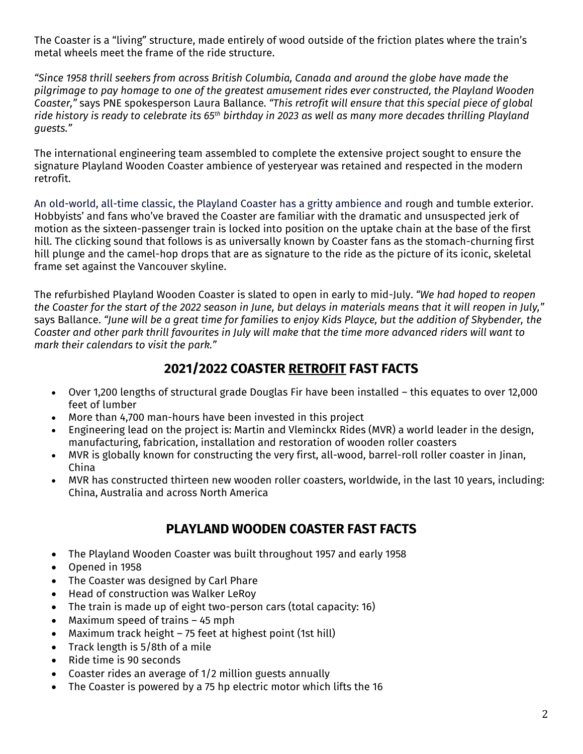The Coaster is a "living" structure, made entirely of wood outside of the friction plates where the train's metal wheels meet the frame of the ride structure.

*"Since 1958 thrill seekers from across British Columbia, Canada and around the globe have made the pilgrimage to pay homage to one of the greatest amusement rides ever constructed, the Playland Wooden Coaster,"* says PNE spokesperson Laura Ballance. *"This retrofit will ensure that this special piece of global ride history is ready to celebrate its 65th birthday in 2023 as well as many more decades thrilling Playland guests."*

The international engineering team assembled to complete the extensive project sought to ensure the signature Playland Wooden Coaster ambience of yesteryear was retained and respected in the modern retrofit.

An old-world, all-time classic, the Playland Coaster has a gritty ambience and rough and tumble exterior. Hobbyists' and fans who've braved the Coaster are familiar with the dramatic and unsuspected jerk of motion as the sixteen-passenger train is locked into position on the uptake chain at the base of the first hill. The clicking sound that follows is as universally known by Coaster fans as the stomach-churning first hill plunge and the camel-hop drops that are as signature to the ride as the picture of its iconic, skeletal frame set against the Vancouver skyline.

The refurbished Playland Wooden Coaster is slated to open in early to mid-July. *"We had hoped to reopen*  the Coaster for the start of the 2022 season in June, but delays in materials means that it will reopen in July," says Ballance. *"June will be a great time for families to enjoy Kids Playce, but the addition of Skybender, the Coaster and other park thrill favourites in July will make that the time more advanced riders will want to mark their calendars to visit the park."*

#### **2021/2022 COASTER RETROFIT FAST FACTS**

- Over 1,200 lengths of structural grade Douglas Fir have been installed this equates to over 12,000 feet of lumber
- More than 4,700 man-hours have been invested in this project
- Engineering lead on the project is: Martin and Vleminckx Rides (MVR) a world leader in the design, manufacturing, fabrication, installation and restoration of wooden roller coasters
- MVR is globally known for constructing the very first, all-wood, barrel-roll roller coaster in Jinan, China
- MVR has constructed thirteen new wooden roller coasters, worldwide, in the last 10 years, including: China, Australia and across North America

## **PLAYLAND WOODEN COASTER FAST FACTS**

- The Playland Wooden Coaster was built throughout 1957 and early 1958
- Opened in 1958
- The Coaster was designed by Carl Phare
- Head of construction was Walker LeRoy
- The train is made up of eight two-person cars (total capacity: 16)
- Maximum speed of trains  $-45$  mph
- Maximum track height 75 feet at highest point (1st hill)
- Track length is 5/8th of a mile
- Ride time is 90 seconds
- Coaster rides an average of 1/2 million guests annually
- The Coaster is powered by a 75 hp electric motor which lifts the 16